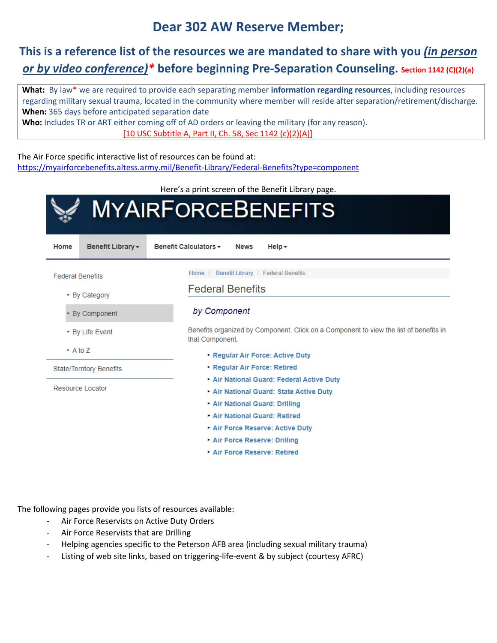## **Dear 302 AW Reserve Member;**

# **This is a reference list of the resources we are mandated to share with you** *(in person or by video conference)\** **before beginning Pre-Separation Counseling. Section 1142 (C)(2)(a)**

**What:** By law\* we are required to provide each separating member **information regarding resources**, including resources regarding military sexual trauma, located in the community where member will reside after separation/retirement/discharge. **When:** 365 days before anticipated separation date **Who:** Includes TR or ART either coming off of AD orders or leaving the military (for any reason).

[10 USC Subtitle A, Part II, Ch. 58, Sec 1142 (c)(2)(A)]

The Air Force specific interactive list of resources can be found at: <https://myairforcebenefits.altess.army.mil/Benefit-Library/Federal-Benefits?type=component>

Here's a print screen of the Benefit Library page. **MYAIRFORCEBENEFITS** Home Benefit Library -Benefit Calculators -**News**  $Help -$ Home / Benefit Library / Federal Benefits **Federal Benefits Federal Benefits** ▶ By Category by Component By Component Benefits organized by Component. Click on a Component to view the list of benefits in ▶ By Life Event that Component. ▶ A to Z Regular Air Force: Active Duty Regular Air Force: Retired **State/Territory Benefits** Air National Guard: Federal Active Duty Resource Locator Air National Guard: State Active Duty Air National Guard: Drilling Air National Guard: Retired Air Force Reserve: Active Duty Air Force Reserve: Drilling Air Force Reserve: Retired

The following pages provide you lists of resources available:

- Air Force Reservists on Active Duty Orders
- Air Force Reservists that are Drilling
- Helping agencies specific to the Peterson AFB area (including sexual military trauma)
- Listing of web site links, based on triggering-life-event & by subject (courtesy AFRC)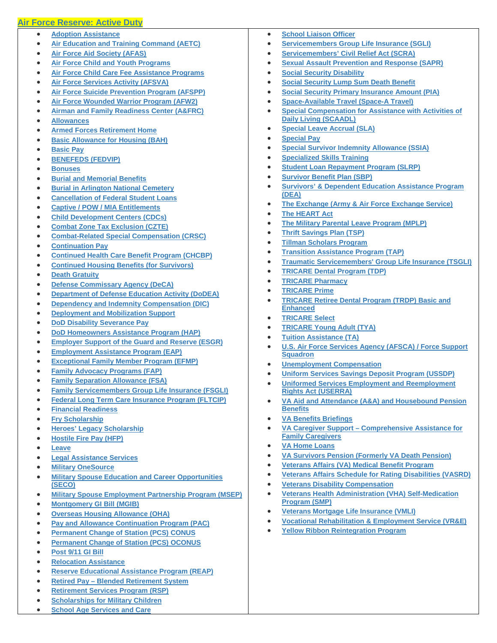### **[Air Force Reserve: Active Duty](javascript:%20void(0);)**

- **[Adoption Assistance](https://myairforcebenefits.altess.army.mil/Benefit-Library/Federal-Benefits/Adoption-Assistance?serv=23)**
- **[Air Education and Training Command \(AETC\)](https://myairforcebenefits.altess.army.mil/Benefit-Library/Federal-Benefits/Air-Education-and-Training-Command-(AETC)?serv=23)**
- **[Air Force Aid Society \(AFAS\)](https://myairforcebenefits.altess.army.mil/Benefit-Library/Federal-Benefits/Air-Force-Aid-Society-(AFAS)?serv=23)**
- **[Air Force Child and Youth Programs](https://myairforcebenefits.altess.army.mil/Benefit-Library/Federal-Benefits/Air-Force-Child-and-Youth-Programs?serv=23)**
- **[Air Force Child Care Fee Assistance Programs](https://myairforcebenefits.altess.army.mil/Benefit-Library/Federal-Benefits/Air-Force-Child-Care-Fee-Assistance-Programs?serv=23)**
- **[Air Force Services Activity \(AFSVA\)](https://myairforcebenefits.altess.army.mil/Benefit-Library/Federal-Benefits/Air-Force-Services-Activity-(AFSVA)?serv=23)**
- **[Air Force Suicide Prevention Program \(AFSPP\)](https://myairforcebenefits.altess.army.mil/Benefit-Library/Federal-Benefits/Air-Force-Suicide-Prevention-Program-(AFSPP)?serv=23)**
- **[Air Force Wounded Warrior Program \(AFW2\)](https://myairforcebenefits.altess.army.mil/Benefit-Library/Federal-Benefits/Air-Force-Wounded-Warrior-Program-(AFW2)?serv=23)**
- **[Airman and Family Readiness Center \(A&FRC\)](https://myairforcebenefits.altess.army.mil/Benefit-Library/Federal-Benefits/Airman-and-Family-Readiness-Center-(AandFRC)?serv=23)**
- **[Allowances](https://myairforcebenefits.altess.army.mil/Benefit-Library/Federal-Benefits/Allowances?serv=23)**
- **[Armed Forces Retirement Home](https://myairforcebenefits.altess.army.mil/Benefit-Library/Federal-Benefits/Armed-Forces-Retirement-Home?serv=23)**
- **[Basic Allowance for Housing \(BAH\)](https://myairforcebenefits.altess.army.mil/Benefit-Library/Federal-Benefits/Basic-Allowance-for-Housing-(BAH)?serv=23)**
- **[Basic Pay](https://myairforcebenefits.altess.army.mil/Benefit-Library/Federal-Benefits/Basic-Pay?serv=23)**
- **[BENEFEDS \(FEDVIP\)](https://myairforcebenefits.altess.army.mil/Benefit-Library/Federal-Benefits/BENEFEDS-(FEDVIP)?serv=23)**
- **[Bonuses](https://myairforcebenefits.altess.army.mil/Benefit-Library/Federal-Benefits/Bonuses?serv=23)**
- **[Burial and Memorial Benefits](https://myairforcebenefits.altess.army.mil/Benefit-Library/Federal-Benefits/Burial-and-Memorial-Benefits?serv=23)**
- **[Burial in Arlington National Cemetery](https://myairforcebenefits.altess.army.mil/Benefit-Library/Federal-Benefits/Burial-in-Arlington-National-Cemetery?serv=23)**
- **[Cancellation of Federal Student Loans](https://myairforcebenefits.altess.army.mil/Benefit-Library/Federal-Benefits/Cancellation-of-Federal-Student-Loans?serv=23)**
- **[Captive / POW / MIA Entitlements](https://myairforcebenefits.altess.army.mil/Benefit-Library/Federal-Benefits/Captive-/-POW-/-MIA-Entitlements?serv=23)**
- **[Child Development Centers \(CDCs\)](https://myairforcebenefits.altess.army.mil/Benefit-Library/Federal-Benefits/Child-Development-Centers-(CDCs)?serv=23)**
- **[Combat Zone Tax Exclusion \(CZTE\)](https://myairforcebenefits.altess.army.mil/Benefit-Library/Federal-Benefits/Combat-Zone-Tax-Exclusion-(CZTE)?serv=23)**
- **[Combat-Related Special Compensation \(CRSC\)](https://myairforcebenefits.altess.army.mil/Benefit-Library/Federal-Benefits/Combat-Related-Special-Compensation-(CRSC)?serv=23)**
- **[Continuation Pay](https://myairforcebenefits.altess.army.mil/Benefit-Library/Federal-Benefits/Continuation-Pay-?serv=23)**
- **[Continued Health Care Benefit Program \(CHCBP\)](https://myairforcebenefits.altess.army.mil/Benefit-Library/Federal-Benefits/Continued-Health-Care-Benefit-Program-(CHCBP)?serv=23)**
- **[Continued Housing Benefits \(for Survivors\)](https://myairforcebenefits.altess.army.mil/Benefit-Library/Federal-Benefits/Continued-Housing-Benefits-(for-Survivors)?serv=23)**
- **[Death Gratuity](https://myairforcebenefits.altess.army.mil/Benefit-Library/Federal-Benefits/Death-Gratuity-?serv=23)**
- **[Defense Commissary Agency \(DeCA\)](https://myairforcebenefits.altess.army.mil/Benefit-Library/Federal-Benefits/Defense-Commissary-Agency-(DeCA)?serv=23)**
- **[Department of Defense Education Activity \(DoDEA\)](https://myairforcebenefits.altess.army.mil/Benefit-Library/Federal-Benefits/Department-of-Defense-Education-Activity-(DoDEA)?serv=23)**
- **[Dependency and Indemnity Compensation \(DIC\)](https://myairforcebenefits.altess.army.mil/Benefit-Library/Federal-Benefits/Dependency-and-Indemnity-Compensation-(DIC)?serv=23)**
- **[Deployment and Mobilization Support](https://myairforcebenefits.altess.army.mil/Benefit-Library/Federal-Benefits/Deployment-and-Mobilization-Support?serv=23)**
- **[DoD Disability Severance Pay](https://myairforcebenefits.altess.army.mil/Benefit-Library/Federal-Benefits/DoD-Disability-Severance-Pay-?serv=23)**
- **[DoD Homeowners Assistance Program \(HAP\)](https://myairforcebenefits.altess.army.mil/Benefit-Library/Federal-Benefits/DoD-Homeowners-Assistance-Program-(HAP)?serv=23)**
- **[Employer Support of the Guard and Reserve \(ESGR\)](https://myairforcebenefits.altess.army.mil/Benefit-Library/Federal-Benefits/Employer-Support-of-the-Guard-and-Reserve-(ESGR)?serv=23)**
- **[Employment Assistance Program \(EAP\)](https://myairforcebenefits.altess.army.mil/Benefit-Library/Federal-Benefits/Employment-Assistance-Program-(EAP)?serv=23)**
- **[Exceptional Family Member Program \(EFMP\)](https://myairforcebenefits.altess.army.mil/Benefit-Library/Federal-Benefits/Exceptional-Family-Member-Program-(EFMP)?serv=23)**
- **[Family Advocacy Programs \(FAP\)](https://myairforcebenefits.altess.army.mil/Benefit-Library/Federal-Benefits/Family-Advocacy-Programs-(FAP)?serv=23)**
- **[Family Separation Allowance \(FSA\)](https://myairforcebenefits.altess.army.mil/Benefit-Library/Federal-Benefits/Family-Separation-Allowance-(FSA)?serv=23)**
- **[Family Servicemembers Group Life Insurance \(FSGLI\)](https://myairforcebenefits.altess.army.mil/Benefit-Library/Federal-Benefits/Family-Servicemembers-Group-Life-Insurance-(FSGLI)?serv=23)**
- **[Federal Long Term Care Insurance Program \(FLTCIP\)](https://myairforcebenefits.altess.army.mil/Benefit-Library/Federal-Benefits/Federal-Long-Term-Care-Insurance-Program-(FLTCIP)?serv=23)**
- **[Financial Readiness](https://myairforcebenefits.altess.army.mil/Benefit-Library/Federal-Benefits/Financial-Readiness?serv=23)**
- **[Fry Scholarship](https://myairforcebenefits.altess.army.mil/Benefit-Library/Federal-Benefits/Fry-Scholarship?serv=23)**
- **[Heroes' Legacy Scholarship](https://myairforcebenefits.altess.army.mil/Benefit-Library/Federal-Benefits/Heroes-Legacy-Scholarship?serv=23)**
- **[Hostile Fire Pay \(HFP\)](https://myairforcebenefits.altess.army.mil/Benefit-Library/Federal-Benefits/Hostile-Fire-Pay-(HFP)?serv=23)**
- **[Leave](https://myairforcebenefits.altess.army.mil/Benefit-Library/Federal-Benefits/Leave?serv=23)**
- **[Legal Assistance Services](https://myairforcebenefits.altess.army.mil/Benefit-Library/Federal-Benefits/Legal-Assistance-Services?serv=23)**
- **[Military OneSource](https://myairforcebenefits.altess.army.mil/Benefit-Library/Federal-Benefits/Military-OneSource?serv=23)**
- **[Military Spouse Education and Career Opportunities](https://myairforcebenefits.altess.army.mil/Benefit-Library/Federal-Benefits/Military-Spouse-Education-and-Career-Opportunities-(SECO)?serv=23)  [\(SECO\)](https://myairforcebenefits.altess.army.mil/Benefit-Library/Federal-Benefits/Military-Spouse-Education-and-Career-Opportunities-(SECO)?serv=23)**
- **[Military Spouse Employment Partnership Program \(MSEP\)](https://myairforcebenefits.altess.army.mil/Benefit-Library/Federal-Benefits/Military-Spouse-Employment-Partnership-Program-(MSEP)?serv=23)**
- **[Montgomery GI Bill \(MGIB\)](https://myairforcebenefits.altess.army.mil/Benefit-Library/Federal-Benefits/Montgomery-GI-Bill-(MGIB)?serv=23)**
- **[Overseas Housing Allowance \(OHA\)](https://myairforcebenefits.altess.army.mil/Benefit-Library/Federal-Benefits/Overseas-Housing-Allowance-(OHA)?serv=23)**
- **[Pay and Allowance Continuation Program \(PAC\)](https://myairforcebenefits.altess.army.mil/Benefit-Library/Federal-Benefits/Pay-and-Allowance-Continuation-Program-(PAC)?serv=23)**
- **[Permanent Change of Station \(PCS\) CONUS](https://myairforcebenefits.altess.army.mil/Benefit-Library/Federal-Benefits/Permanent-Change-of-Station-(PCS)-CONUS?serv=23)**
- **[Permanent Change of Station \(PCS\) OCONUS](https://myairforcebenefits.altess.army.mil/Benefit-Library/Federal-Benefits/Permanent-Change-of-Station-(PCS)-OCONUS?serv=23)**
- **[Post 9/11 GI Bill](https://myairforcebenefits.altess.army.mil/Benefit-Library/Federal-Benefits/Post-9/11-GI-Bill?serv=23)**
- **[Relocation Assistance](https://myairforcebenefits.altess.army.mil/Benefit-Library/Federal-Benefits/Relocation-Assistance?serv=23)**
- **[Reserve Educational Assistance Program \(REAP\)](https://myairforcebenefits.altess.army.mil/Benefit-Library/Federal-Benefits/Reserve-Educational-Assistance-Program-(REAP)?serv=23)**
- **Retired Pay – [Blended Retirement System](https://myairforcebenefits.altess.army.mil/Benefit-Library/Federal-Benefits/Retired-Pay-%E2%80%93-Blended-Retirement-System?serv=23)**
- **[Retirement Services Program \(RSP\)](https://myairforcebenefits.altess.army.mil/Benefit-Library/Federal-Benefits/Retirement-Services-Program-(RSP)?serv=23)**
- **[Scholarships for Military Children](https://myairforcebenefits.altess.army.mil/Benefit-Library/Federal-Benefits/Scholarships-for-Military-Children?serv=23)**
- **[School Age Services and Care](https://myairforcebenefits.altess.army.mil/Benefit-Library/Federal-Benefits/School-Age-Services-and-Care?serv=23)**
- **[School Liaison Officer](https://myairforcebenefits.altess.army.mil/Benefit-Library/Federal-Benefits/School-Liaison-Officer?serv=23)**
- **[Servicemembers Group Life Insurance \(SGLI\)](https://myairforcebenefits.altess.army.mil/Benefit-Library/Federal-Benefits/Servicemembers-Group-Life-Insurance-(SGLI)?serv=23)**
- **[Servicemembers' Civil Relief Act \(SCRA\)](https://myairforcebenefits.altess.army.mil/Benefit-Library/Federal-Benefits/Servicemembers-Civil-Relief-Act-(SCRA)?serv=23)**
- **[Sexual Assault Prevention and Response \(SAPR\)](https://myairforcebenefits.altess.army.mil/Benefit-Library/Federal-Benefits/Sexual-Assault-Prevention-and-Response-(SAPR)?serv=23)**
- **[Social Security Disability](https://myairforcebenefits.altess.army.mil/Benefit-Library/Federal-Benefits/Social-Security-Disability?serv=23)**
- **[Social Security Lump Sum Death Benefit](https://myairforcebenefits.altess.army.mil/Benefit-Library/Federal-Benefits/Social-Security-Lump-Sum-Death-Benefit?serv=23)**
- **[Social Security Primary Insurance Amount \(PIA\)](https://myairforcebenefits.altess.army.mil/Benefit-Library/Federal-Benefits/Social-Security-Primary-Insurance-Amount-(PIA)?serv=23)**
- **[Space-Available Travel \(Space-A Travel\)](https://myairforcebenefits.altess.army.mil/Benefit-Library/Federal-Benefits/Space-Available-Travel-(Space-A-Travel)?serv=23)**
- **[Special Compensation for Assistance with Activities of](https://myairforcebenefits.altess.army.mil/Benefit-Library/Federal-Benefits/Special-Compensation-for-Assistance-with-Activities-of-Daily-Living-(SCAADL)?serv=23)  [Daily Living \(SCAADL\)](https://myairforcebenefits.altess.army.mil/Benefit-Library/Federal-Benefits/Special-Compensation-for-Assistance-with-Activities-of-Daily-Living-(SCAADL)?serv=23)**
- **[Special Leave Accrual \(SLA\)](https://myairforcebenefits.altess.army.mil/Benefit-Library/Federal-Benefits/Special-Leave-Accrual-(SLA)?serv=23)**
- **[Special Pay](https://myairforcebenefits.altess.army.mil/Benefit-Library/Federal-Benefits/Special-Pay?serv=23)**
- **[Special Survivor Indemnity Allowance \(SSIA\)](https://myairforcebenefits.altess.army.mil/Benefit-Library/Federal-Benefits/Special-Survivor-Indemnity-Allowance-(SSIA)?serv=23)**
- **[Specialized Skills Training](https://myairforcebenefits.altess.army.mil/Benefit-Library/Federal-Benefits/Specialized-Skills-Training?serv=23)**
- **[Student Loan Repayment Program \(SLRP\)](https://myairforcebenefits.altess.army.mil/Benefit-Library/Federal-Benefits/Student-Loan-Repayment-Program-(SLRP)?serv=23)**
- **[Survivor Benefit Plan \(SBP\)](https://myairforcebenefits.altess.army.mil/Benefit-Library/Federal-Benefits/Survivor-Benefit-Plan-(SBP)?serv=23)**
- **[Survivors' & Dependent Education Assistance Program](https://myairforcebenefits.altess.army.mil/Benefit-Library/Federal-Benefits/Survivors-and-Dependent-Education-Assistance-Program-(DEA)?serv=23)  [\(DEA\)](https://myairforcebenefits.altess.army.mil/Benefit-Library/Federal-Benefits/Survivors-and-Dependent-Education-Assistance-Program-(DEA)?serv=23)**
- **[The Exchange \(Army & Air Force Exchange Service\)](https://myairforcebenefits.altess.army.mil/Benefit-Library/Federal-Benefits/The-Exchange-(Army-and-Air-Force-Exchange-Service)?serv=23)**
- **[The HEART Act](https://myairforcebenefits.altess.army.mil/Benefit-Library/Federal-Benefits/The-HEART-Act?serv=23)**
- **[The Military Parental Leave Program \(MPLP\)](https://myairforcebenefits.altess.army.mil/Benefit-Library/Federal-Benefits/The-Military-Parental-Leave-Program-(MPLP)?serv=23)**
- **[Thrift Savings Plan \(TSP\)](https://myairforcebenefits.altess.army.mil/Benefit-Library/Federal-Benefits/Thrift-Savings-Plan-(TSP)?serv=23)**
- **[Tillman Scholars Program](https://myairforcebenefits.altess.army.mil/Benefit-Library/Federal-Benefits/Tillman-Scholars-Program?serv=23)**
- **[Transition Assistance Program \(TAP\)](https://myairforcebenefits.altess.army.mil/Benefit-Library/Federal-Benefits/Transition-Assistance-Program-(TAP)?serv=23)**
- **[Traumatic Servicemembers' Group Life Insurance \(TSGLI\)](https://myairforcebenefits.altess.army.mil/Benefit-Library/Federal-Benefits/Traumatic-Servicemembers-Group-Life-Insurance-(TSGLI)?serv=23)**
- **[TRICARE Dental Program \(TDP\)](https://myairforcebenefits.altess.army.mil/Benefit-Library/Federal-Benefits/TRICARE-Dental-Program-(TDP)?serv=23)**
- **[TRICARE Pharmacy](https://myairforcebenefits.altess.army.mil/Benefit-Library/Federal-Benefits/TRICARE-Pharmacy-?serv=23)**
- **[TRICARE Prime](https://myairforcebenefits.altess.army.mil/Benefit-Library/Federal-Benefits/TRICARE-Prime?serv=23)**
- **[TRICARE Retiree Dental Program \(TRDP\) Basic and](https://myairforcebenefits.altess.army.mil/Benefit-Library/Federal-Benefits/TRICARE-Retiree-Dental-Program-(TRDP)-Basic-and-Enhanced?serv=23)  [Enhanced](https://myairforcebenefits.altess.army.mil/Benefit-Library/Federal-Benefits/TRICARE-Retiree-Dental-Program-(TRDP)-Basic-and-Enhanced?serv=23)**
- **[TRICARE Select](https://myairforcebenefits.altess.army.mil/Benefit-Library/Federal-Benefits/TRICARE-Select?serv=23)**
- **[TRICARE Young Adult \(TYA\)](https://myairforcebenefits.altess.army.mil/Benefit-Library/Federal-Benefits/TRICARE-Young-Adult-(TYA)?serv=23)**
- **[Tuition Assistance \(TA\)](https://myairforcebenefits.altess.army.mil/Benefit-Library/Federal-Benefits/Tuition-Assistance-(TA)?serv=23)**
- **[U.S. Air Force Services Agency \(AFSCA\) / Force Support](https://myairforcebenefits.altess.army.mil/Benefit-Library/Federal-Benefits/US-Air-Force-Services-Agency-(AFSCA)-/-Force-Support-Squadron?serv=23)  [Squadron](https://myairforcebenefits.altess.army.mil/Benefit-Library/Federal-Benefits/US-Air-Force-Services-Agency-(AFSCA)-/-Force-Support-Squadron?serv=23)**
- **[Unemployment Compensation](https://myairforcebenefits.altess.army.mil/Benefit-Library/Federal-Benefits/Unemployment-Compensation?serv=23)**
- **[Uniform Services Savings Deposit Program \(USSDP\)](https://myairforcebenefits.altess.army.mil/Benefit-Library/Federal-Benefits/Uniform-Services-Savings-Deposit-Program-(USSDP)?serv=23)**
- **[Uniformed Services Employment and Reemployment](https://myairforcebenefits.altess.army.mil/Benefit-Library/Federal-Benefits/Uniformed-Services-Employment-and-Reemployment-Rights-Act-(USERRA)?serv=23)  [Rights Act \(USERRA\)](https://myairforcebenefits.altess.army.mil/Benefit-Library/Federal-Benefits/Uniformed-Services-Employment-and-Reemployment-Rights-Act-(USERRA)?serv=23)**
- **[VA Aid and Attendance \(A&A\) and Housebound Pension](https://myairforcebenefits.altess.army.mil/Benefit-Library/Federal-Benefits/VA-Aid-and-Attendance-(AandA)-and-Housebound-Pension-Benefits-x1540?serv=23)  [Benefits](https://myairforcebenefits.altess.army.mil/Benefit-Library/Federal-Benefits/VA-Aid-and-Attendance-(AandA)-and-Housebound-Pension-Benefits-x1540?serv=23)**
- **[VA Benefits Briefings](https://myairforcebenefits.altess.army.mil/Benefit-Library/Federal-Benefits/VA-Benefits-Briefings?serv=23)**
- **VA Caregiver Support – [Comprehensive Assistance for](https://myairforcebenefits.altess.army.mil/Benefit-Library/Federal-Benefits/VA-Caregiver-Support-%E2%80%93-Comprehensive-Assistance-for-Family-Caregivers?serv=23)  [Family Caregivers](https://myairforcebenefits.altess.army.mil/Benefit-Library/Federal-Benefits/VA-Caregiver-Support-%E2%80%93-Comprehensive-Assistance-for-Family-Caregivers?serv=23)**

• **[Veterans Health Administration \(VHA\) Self-Medication](https://myairforcebenefits.altess.army.mil/Benefit-Library/Federal-Benefits/Veterans-Health-Administration-(VHA)-Self-Medication-Program-(SMP)?serv=23)** 

• **[Veterans Affairs Schedule for Rating Disabilities \(VASRD\)](https://myairforcebenefits.altess.army.mil/Benefit-Library/Federal-Benefits/Veterans-Affairs-Schedule-for-Rating-Disabilities-(VASRD)?serv=23)**

• **[Vocational Rehabilitation & Employment Service \(VR&E\)](https://myairforcebenefits.altess.army.mil/Benefit-Library/Federal-Benefits/Vocational-Rehabilitation-and-Employment-Service-(VRandE)?serv=23)**

• **[VA Home Loans](https://myairforcebenefits.altess.army.mil/Benefit-Library/Federal-Benefits/VA-Home-Loans?serv=23)**

**[Program \(SMP\)](https://myairforcebenefits.altess.army.mil/Benefit-Library/Federal-Benefits/Veterans-Health-Administration-(VHA)-Self-Medication-Program-(SMP)?serv=23)**

• **[VA Survivors Pension \(Formerly VA Death Pension\)](https://myairforcebenefits.altess.army.mil/Benefit-Library/Federal-Benefits/VA-Survivors-Pension-(Formerly-VA-Death-Pension)?serv=23)** • **[Veterans Affairs \(VA\) Medical Benefit Program](https://myairforcebenefits.altess.army.mil/Benefit-Library/Federal-Benefits/Veterans-Affairs-(VA)-Medical-Benefit-Program?serv=23)**

• **[Veterans Disability Compensation](https://myairforcebenefits.altess.army.mil/Benefit-Library/Federal-Benefits/Veterans-Disability-Compensation?serv=23)**

• **[Veterans Mortgage Life Insurance \(VMLI\)](https://myairforcebenefits.altess.army.mil/Benefit-Library/Federal-Benefits/Veterans-Mortgage-Life-Insurance-(VMLI)?serv=23)**

• **[Yellow Ribbon Reintegration Program](https://myairforcebenefits.altess.army.mil/Benefit-Library/Federal-Benefits/Yellow-Ribbon-Reintegration-Program?serv=23)**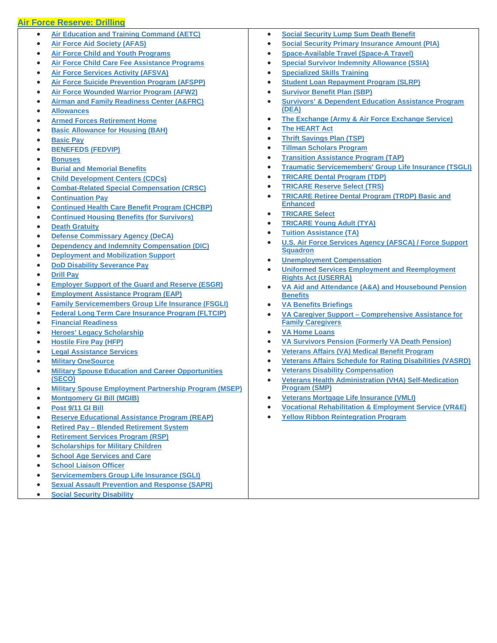### **[Air Force Reserve: Drilling](javascript:%20void(0);)**

- **[Air Education and Training Command \(AETC\)](https://myairforcebenefits.altess.army.mil/Benefit-Library/Federal-Benefits/Air-Education-and-Training-Command-(AETC)?serv=24)**
- **[Air Force Aid Society \(AFAS\)](https://myairforcebenefits.altess.army.mil/Benefit-Library/Federal-Benefits/Air-Force-Aid-Society-(AFAS)?serv=24)**
- **[Air Force Child and Youth Programs](https://myairforcebenefits.altess.army.mil/Benefit-Library/Federal-Benefits/Air-Force-Child-and-Youth-Programs?serv=24)**
- **[Air Force Child Care Fee Assistance Programs](https://myairforcebenefits.altess.army.mil/Benefit-Library/Federal-Benefits/Air-Force-Child-Care-Fee-Assistance-Programs?serv=24)**
- **[Air Force Services Activity \(AFSVA\)](https://myairforcebenefits.altess.army.mil/Benefit-Library/Federal-Benefits/Air-Force-Services-Activity-(AFSVA)?serv=24)**
- **[Air Force Suicide Prevention Program \(AFSPP\)](https://myairforcebenefits.altess.army.mil/Benefit-Library/Federal-Benefits/Air-Force-Suicide-Prevention-Program-(AFSPP)?serv=24)**
- **[Air Force Wounded Warrior Program \(AFW2\)](https://myairforcebenefits.altess.army.mil/Benefit-Library/Federal-Benefits/Air-Force-Wounded-Warrior-Program-(AFW2)?serv=24)**
- **[Airman and Family Readiness Center \(A&FRC\)](https://myairforcebenefits.altess.army.mil/Benefit-Library/Federal-Benefits/Airman-and-Family-Readiness-Center-(AandFRC)?serv=24)**
- **[Allowances](https://myairforcebenefits.altess.army.mil/Benefit-Library/Federal-Benefits/Allowances?serv=24)**
- **[Armed Forces Retirement Home](https://myairforcebenefits.altess.army.mil/Benefit-Library/Federal-Benefits/Armed-Forces-Retirement-Home?serv=24)**
- **[Basic Allowance for Housing \(BAH\)](https://myairforcebenefits.altess.army.mil/Benefit-Library/Federal-Benefits/Basic-Allowance-for-Housing-(BAH)?serv=24)**
- **[Basic Pay](https://myairforcebenefits.altess.army.mil/Benefit-Library/Federal-Benefits/Basic-Pay?serv=24)**
- **[BENEFEDS \(FEDVIP\)](https://myairforcebenefits.altess.army.mil/Benefit-Library/Federal-Benefits/BENEFEDS-(FEDVIP)?serv=24)**
- **[Bonuses](https://myairforcebenefits.altess.army.mil/Benefit-Library/Federal-Benefits/Bonuses?serv=24)**
- **[Burial and Memorial Benefits](https://myairforcebenefits.altess.army.mil/Benefit-Library/Federal-Benefits/Burial-and-Memorial-Benefits?serv=24)**
- **[Child Development Centers \(CDCs\)](https://myairforcebenefits.altess.army.mil/Benefit-Library/Federal-Benefits/Child-Development-Centers-(CDCs)?serv=24)**
- **[Combat-Related Special Compensation \(CRSC\)](https://myairforcebenefits.altess.army.mil/Benefit-Library/Federal-Benefits/Combat-Related-Special-Compensation-(CRSC)?serv=24)**
- **[Continuation Pay](https://myairforcebenefits.altess.army.mil/Benefit-Library/Federal-Benefits/Continuation-Pay-?serv=24)**
- **[Continued Health Care Benefit](https://myairforcebenefits.altess.army.mil/Benefit-Library/Federal-Benefits/Continued-Health-Care-Benefit-Program-(CHCBP)?serv=24) Program (CHCBP)**
- **[Continued Housing Benefits \(for Survivors\)](https://myairforcebenefits.altess.army.mil/Benefit-Library/Federal-Benefits/Continued-Housing-Benefits-(for-Survivors)?serv=24)**
- **[Death Gratuity](https://myairforcebenefits.altess.army.mil/Benefit-Library/Federal-Benefits/Death-Gratuity-?serv=24)**
- **[Defense Commissary Agency \(DeCA\)](https://myairforcebenefits.altess.army.mil/Benefit-Library/Federal-Benefits/Defense-Commissary-Agency-(DeCA)?serv=24)**
- **[Dependency and Indemnity Compensation \(DIC\)](https://myairforcebenefits.altess.army.mil/Benefit-Library/Federal-Benefits/Dependency-and-Indemnity-Compensation-(DIC)?serv=24)**
- **[Deployment and Mobilization Support](https://myairforcebenefits.altess.army.mil/Benefit-Library/Federal-Benefits/Deployment-and-Mobilization-Support?serv=24)**
- **[DoD Disability Severance Pay](https://myairforcebenefits.altess.army.mil/Benefit-Library/Federal-Benefits/DoD-Disability-Severance-Pay-?serv=24)**
- **[Drill Pay](https://myairforcebenefits.altess.army.mil/Benefit-Library/Federal-Benefits/Drill-Pay?serv=24)**
- **[Employer Support of the Guard and Reserve \(ESGR\)](https://myairforcebenefits.altess.army.mil/Benefit-Library/Federal-Benefits/Employer-Support-of-the-Guard-and-Reserve-(ESGR)?serv=24)**
- **[Employment Assistance Program \(EAP\)](https://myairforcebenefits.altess.army.mil/Benefit-Library/Federal-Benefits/Employment-Assistance-Program-(EAP)?serv=24)**
- **[Family Servicemembers Group Life Insurance \(FSGLI\)](https://myairforcebenefits.altess.army.mil/Benefit-Library/Federal-Benefits/Family-Servicemembers-Group-Life-Insurance-(FSGLI)?serv=24)**
- **[Federal Long Term Care Insurance Program \(FLTCIP\)](https://myairforcebenefits.altess.army.mil/Benefit-Library/Federal-Benefits/Federal-Long-Term-Care-Insurance-Program-(FLTCIP)?serv=24)**
- **[Financial Readiness](https://myairforcebenefits.altess.army.mil/Benefit-Library/Federal-Benefits/Financial-Readiness?serv=24)**
- **[Heroes' Legacy Scholarship](https://myairforcebenefits.altess.army.mil/Benefit-Library/Federal-Benefits/Heroes-Legacy-Scholarship?serv=24)**
- **[Hostile Fire Pay \(HFP\)](https://myairforcebenefits.altess.army.mil/Benefit-Library/Federal-Benefits/Hostile-Fire-Pay-(HFP)?serv=24)**
- **[Legal Assistance Services](https://myairforcebenefits.altess.army.mil/Benefit-Library/Federal-Benefits/Legal-Assistance-Services?serv=24)**
- **[Military OneSource](https://myairforcebenefits.altess.army.mil/Benefit-Library/Federal-Benefits/Military-OneSource?serv=24)**
- **[Military Spouse Education and Career Opportunities](https://myairforcebenefits.altess.army.mil/Benefit-Library/Federal-Benefits/Military-Spouse-Education-and-Career-Opportunities-(SECO)?serv=24)  [\(SECO\)](https://myairforcebenefits.altess.army.mil/Benefit-Library/Federal-Benefits/Military-Spouse-Education-and-Career-Opportunities-(SECO)?serv=24)**
- **[Military Spouse Employment Partnership Program \(MSEP\)](https://myairforcebenefits.altess.army.mil/Benefit-Library/Federal-Benefits/Military-Spouse-Employment-Partnership-Program-(MSEP)?serv=24)**
- **[Montgomery GI Bill \(MGIB\)](https://myairforcebenefits.altess.army.mil/Benefit-Library/Federal-Benefits/Montgomery-GI-Bill-(MGIB)?serv=24)**
- **[Post 9/11 GI Bill](https://myairforcebenefits.altess.army.mil/Benefit-Library/Federal-Benefits/Post-9/11-GI-Bill?serv=24)**
- **[Reserve Educational Assistance Program \(REAP\)](https://myairforcebenefits.altess.army.mil/Benefit-Library/Federal-Benefits/Reserve-Educational-Assistance-Program-(REAP)?serv=24)**
- **Retired Pay – [Blended Retirement System](https://myairforcebenefits.altess.army.mil/Benefit-Library/Federal-Benefits/Retired-Pay-%E2%80%93-Blended-Retirement-System?serv=24)**
- **[Retirement Services Program \(RSP\)](https://myairforcebenefits.altess.army.mil/Benefit-Library/Federal-Benefits/Retirement-Services-Program-(RSP)?serv=24)**
- **[Scholarships for Military Children](https://myairforcebenefits.altess.army.mil/Benefit-Library/Federal-Benefits/Scholarships-for-Military-Children?serv=24)**
- **[School Age Services and Care](https://myairforcebenefits.altess.army.mil/Benefit-Library/Federal-Benefits/School-Age-Services-and-Care?serv=24)**
- **[School Liaison Officer](https://myairforcebenefits.altess.army.mil/Benefit-Library/Federal-Benefits/School-Liaison-Officer?serv=24)**
- **[Servicemembers Group Life Insurance \(SGLI\)](https://myairforcebenefits.altess.army.mil/Benefit-Library/Federal-Benefits/Servicemembers-Group-Life-Insurance-(SGLI)?serv=24)**
- **[Sexual Assault Prevention and Response \(SAPR\)](https://myairforcebenefits.altess.army.mil/Benefit-Library/Federal-Benefits/Sexual-Assault-Prevention-and-Response-(SAPR)?serv=24)**
- **[Social Security Disability](https://myairforcebenefits.altess.army.mil/Benefit-Library/Federal-Benefits/Social-Security-Disability?serv=24)**
- **[Social Security Lump Sum Death Benefit](https://myairforcebenefits.altess.army.mil/Benefit-Library/Federal-Benefits/Social-Security-Lump-Sum-Death-Benefit?serv=24)**
- **[Social Security Primary Insurance Amount \(PIA\)](https://myairforcebenefits.altess.army.mil/Benefit-Library/Federal-Benefits/Social-Security-Primary-Insurance-Amount-(PIA)?serv=24)**
- **[Space-Available Travel \(Space-A Travel\)](https://myairforcebenefits.altess.army.mil/Benefit-Library/Federal-Benefits/Space-Available-Travel-(Space-A-Travel)?serv=24)**
- **[Special Survivor Indemnity Allowance \(SSIA\)](https://myairforcebenefits.altess.army.mil/Benefit-Library/Federal-Benefits/Special-Survivor-Indemnity-Allowance-(SSIA)?serv=24)**
- **[Specialized Skills Training](https://myairforcebenefits.altess.army.mil/Benefit-Library/Federal-Benefits/Specialized-Skills-Training?serv=24)**
- **[Student Loan Repayment Program \(SLRP\)](https://myairforcebenefits.altess.army.mil/Benefit-Library/Federal-Benefits/Student-Loan-Repayment-Program-(SLRP)?serv=24)**
- **[Survivor Benefit Plan \(SBP\)](https://myairforcebenefits.altess.army.mil/Benefit-Library/Federal-Benefits/Survivor-Benefit-Plan-(SBP)?serv=24)**
- **[Survivors' & Dependent Education Assistance Program](https://myairforcebenefits.altess.army.mil/Benefit-Library/Federal-Benefits/Survivors-and-Dependent-Education-Assistance-Program-(DEA)?serv=24)  [\(DEA\)](https://myairforcebenefits.altess.army.mil/Benefit-Library/Federal-Benefits/Survivors-and-Dependent-Education-Assistance-Program-(DEA)?serv=24)**
- **[The Exchange \(Army & Air Force Exchange Service\)](https://myairforcebenefits.altess.army.mil/Benefit-Library/Federal-Benefits/The-Exchange-(Army-and-Air-Force-Exchange-Service)?serv=24)**
- **[The HEART Act](https://myairforcebenefits.altess.army.mil/Benefit-Library/Federal-Benefits/The-HEART-Act?serv=24)**
- **[Thrift Savings Plan \(TSP\)](https://myairforcebenefits.altess.army.mil/Benefit-Library/Federal-Benefits/Thrift-Savings-Plan-(TSP)?serv=24)**
- **[Tillman Scholars Program](https://myairforcebenefits.altess.army.mil/Benefit-Library/Federal-Benefits/Tillman-Scholars-Program?serv=24)**
- **[Transition Assistance Program \(TAP\)](https://myairforcebenefits.altess.army.mil/Benefit-Library/Federal-Benefits/Transition-Assistance-Program-(TAP)?serv=24)**
- **[Traumatic Servicemembers' Group Life Insurance \(TSGLI\)](https://myairforcebenefits.altess.army.mil/Benefit-Library/Federal-Benefits/Traumatic-Servicemembers-Group-Life-Insurance-(TSGLI)?serv=24)**
- **[TRICARE Dental Program \(TDP\)](https://myairforcebenefits.altess.army.mil/Benefit-Library/Federal-Benefits/TRICARE-Dental-Program-(TDP)?serv=24)**
- **[TRICARE Reserve Select \(TRS\)](https://myairforcebenefits.altess.army.mil/Benefit-Library/Federal-Benefits/TRICARE-Reserve-Select-(TRS)?serv=24)**
- **[TRICARE Retiree Dental Program \(TRDP\) Basic and](https://myairforcebenefits.altess.army.mil/Benefit-Library/Federal-Benefits/TRICARE-Retiree-Dental-Program-(TRDP)-Basic-and-Enhanced?serv=24)  [Enhanced](https://myairforcebenefits.altess.army.mil/Benefit-Library/Federal-Benefits/TRICARE-Retiree-Dental-Program-(TRDP)-Basic-and-Enhanced?serv=24)**
- **[TRICARE Select](https://myairforcebenefits.altess.army.mil/Benefit-Library/Federal-Benefits/TRICARE-Select?serv=24)**
- **[TRICARE Young Adult \(TYA\)](https://myairforcebenefits.altess.army.mil/Benefit-Library/Federal-Benefits/TRICARE-Young-Adult-(TYA)?serv=24)**
- **[Tuition Assistance \(TA\)](https://myairforcebenefits.altess.army.mil/Benefit-Library/Federal-Benefits/Tuition-Assistance-(TA)?serv=24)**
- **[U.S. Air Force Services Agency \(AFSCA\) / Force Support](https://myairforcebenefits.altess.army.mil/Benefit-Library/Federal-Benefits/US-Air-Force-Services-Agency-(AFSCA)-/-Force-Support-Squadron?serv=24)  [Squadron](https://myairforcebenefits.altess.army.mil/Benefit-Library/Federal-Benefits/US-Air-Force-Services-Agency-(AFSCA)-/-Force-Support-Squadron?serv=24)**
- **[Unemployment Compensation](https://myairforcebenefits.altess.army.mil/Benefit-Library/Federal-Benefits/Unemployment-Compensation?serv=24)**
- **[Uniformed Services Employment and Reemployment](https://myairforcebenefits.altess.army.mil/Benefit-Library/Federal-Benefits/Uniformed-Services-Employment-and-Reemployment-Rights-Act-(USERRA)?serv=24)  [Rights Act \(USERRA\)](https://myairforcebenefits.altess.army.mil/Benefit-Library/Federal-Benefits/Uniformed-Services-Employment-and-Reemployment-Rights-Act-(USERRA)?serv=24)**
- **[VA Aid and Attendance \(A&A\) and Housebound Pension](https://myairforcebenefits.altess.army.mil/Benefit-Library/Federal-Benefits/VA-Aid-and-Attendance-(AandA)-and-Housebound-Pension-Benefits-x1540?serv=24)  [Benefits](https://myairforcebenefits.altess.army.mil/Benefit-Library/Federal-Benefits/VA-Aid-and-Attendance-(AandA)-and-Housebound-Pension-Benefits-x1540?serv=24)**
- **[VA Benefits Briefings](https://myairforcebenefits.altess.army.mil/Benefit-Library/Federal-Benefits/VA-Benefits-Briefings?serv=24)**
- **[VA Caregiver Support –](https://myairforcebenefits.altess.army.mil/Benefit-Library/Federal-Benefits/VA-Caregiver-Support-%E2%80%93-Comprehensive-Assistance-for-Family-Caregivers?serv=24) Comprehensive Assistance for [Family Caregivers](https://myairforcebenefits.altess.army.mil/Benefit-Library/Federal-Benefits/VA-Caregiver-Support-%E2%80%93-Comprehensive-Assistance-for-Family-Caregivers?serv=24)**
- **[VA Home Loans](https://myairforcebenefits.altess.army.mil/Benefit-Library/Federal-Benefits/VA-Home-Loans?serv=24)**
- **[VA Survivors Pension \(Formerly VA Death Pension\)](https://myairforcebenefits.altess.army.mil/Benefit-Library/Federal-Benefits/VA-Survivors-Pension-(Formerly-VA-Death-Pension)?serv=24)**
- **[Veterans Affairs \(VA\) Medical Benefit Program](https://myairforcebenefits.altess.army.mil/Benefit-Library/Federal-Benefits/Veterans-Affairs-(VA)-Medical-Benefit-Program?serv=24)**
- **[Veterans Affairs Schedule for Rating Disabilities \(VASRD\)](https://myairforcebenefits.altess.army.mil/Benefit-Library/Federal-Benefits/Veterans-Affairs-Schedule-for-Rating-Disabilities-(VASRD)?serv=24)**
- **[Veterans Disability Compensation](https://myairforcebenefits.altess.army.mil/Benefit-Library/Federal-Benefits/Veterans-Disability-Compensation?serv=24)**
- **[Veterans Health Administration \(VHA\) Self-Medication](https://myairforcebenefits.altess.army.mil/Benefit-Library/Federal-Benefits/Veterans-Health-Administration-(VHA)-Self-Medication-Program-(SMP)?serv=24)  [Program \(SMP\)](https://myairforcebenefits.altess.army.mil/Benefit-Library/Federal-Benefits/Veterans-Health-Administration-(VHA)-Self-Medication-Program-(SMP)?serv=24)**
- **[Veterans Mortgage Life Insurance \(VMLI\)](https://myairforcebenefits.altess.army.mil/Benefit-Library/Federal-Benefits/Veterans-Mortgage-Life-Insurance-(VMLI)?serv=24)**
- **[Vocational Rehabilitation & Employment Service \(VR&E\)](https://myairforcebenefits.altess.army.mil/Benefit-Library/Federal-Benefits/Vocational-Rehabilitation-and-Employment-Service-(VRandE)?serv=24)**
- **[Yellow Ribbon Reintegration Program](https://myairforcebenefits.altess.army.mil/Benefit-Library/Federal-Benefits/Yellow-Ribbon-Reintegration-Program?serv=24)**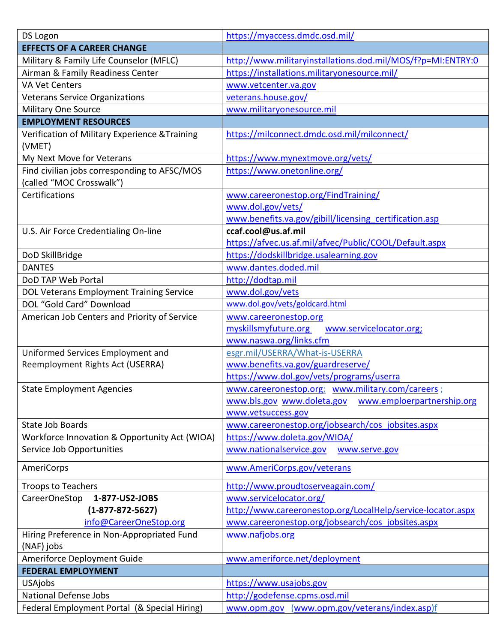| DS Logon                                                 | https://myaccess.dmdc.osd.mil/                              |
|----------------------------------------------------------|-------------------------------------------------------------|
| <b>EFFECTS OF A CAREER CHANGE</b>                        |                                                             |
| Military & Family Life Counselor (MFLC)                  | http://www.militaryinstallations.dod.mil/MOS/f?p=MI:ENTRY:0 |
| Airman & Family Readiness Center                         | https://installations.militaryonesource.mil/                |
| <b>VA Vet Centers</b>                                    | www.vetcenter.va.gov                                        |
| <b>Veterans Service Organizations</b>                    | veterans.house.gov/                                         |
| <b>Military One Source</b>                               | www.militaryonesource.mil                                   |
| <b>EMPLOYMENT RESOURCES</b>                              |                                                             |
| Verification of Military Experience & Training<br>(VMET) | https://milconnect.dmdc.osd.mil/milconnect/                 |
| My Next Move for Veterans                                | https://www.mynextmove.org/vets/                            |
| Find civilian jobs corresponding to AFSC/MOS             | https://www.onetonline.org/                                 |
| (called "MOC Crosswalk")                                 |                                                             |
| Certifications                                           | www.careeronestop.org/FindTraining/                         |
|                                                          | www.dol.gov/vets/                                           |
|                                                          | www.benefits.va.gov/gibill/licensing certification.asp      |
| U.S. Air Force Credentialing On-line                     | ccaf.cool@us.af.mil                                         |
|                                                          | https://afvec.us.af.mil/afvec/Public/COOL/Default.aspx      |
| DoD SkillBridge                                          | https://dodskillbridge.usalearning.gov                      |
| <b>DANTES</b>                                            | www.dantes.doded.mil                                        |
| DoD TAP Web Portal                                       | http://dodtap.mil                                           |
| DOL Veterans Employment Training Service                 | www.dol.gov/vets                                            |
| DOL "Gold Card" Download                                 | www.dol.gov/vets/goldcard.html                              |
| American Job Centers and Priority of Service             | www.careeronestop.org                                       |
|                                                          | myskillsmyfuture.org www.servicelocator.org;                |
|                                                          | www.naswa.org/links.cfm                                     |
| Uniformed Services Employment and                        | esgr.mil/USERRA/What-is-USERRA                              |
| Reemployment Rights Act (USERRA)                         | www.benefits.va.gov/guardreserve/                           |
|                                                          | https://www.dol.gov/vets/programs/userra                    |
| <b>State Employment Agencies</b>                         | www.careeronestop.org; www.military.com/careers;            |
|                                                          | www.emploerpartnership.org<br>www.bls.gov www.doleta.gov    |
|                                                          | www.vetsuccess.gov                                          |
| <b>State Job Boards</b>                                  | www.careeronestop.org/jobsearch/cos_jobsites.aspx           |
| Workforce Innovation & Opportunity Act (WIOA)            | https://www.doleta.gov/WIOA/                                |
| Service Job Opportunities                                | www.nationalservice.gov<br>www.serve.gov                    |
| AmeriCorps                                               | www.AmeriCorps.gov/veterans                                 |
| <b>Troops to Teachers</b>                                | http://www.proudtoserveagain.com/                           |
| CareerOneStop<br>1-877-US2-JOBS                          | www.servicelocator.org/                                     |
| $(1-877-872-5627)$                                       | http://www.careeronestop.org/LocalHelp/service-locator.aspx |
| info@CareerOneStop.org                                   | www.careeronestop.org/jobsearch/cos_jobsites.aspx           |
| Hiring Preference in Non-Appropriated Fund               | www.nafjobs.org                                             |
| (NAF) jobs                                               |                                                             |
| Ameriforce Deployment Guide                              | www.ameriforce.net/deployment                               |
| <b>FEDERAL EMPLOYMENT</b>                                |                                                             |
| <b>USAjobs</b>                                           | https://www.usajobs.gov                                     |
| <b>National Defense Jobs</b>                             | http://godefense.cpms.osd.mil                               |
| Federal Employment Portal (& Special Hiring)             | www.opm.gov (www.opm.gov/veterans/index.asp)f               |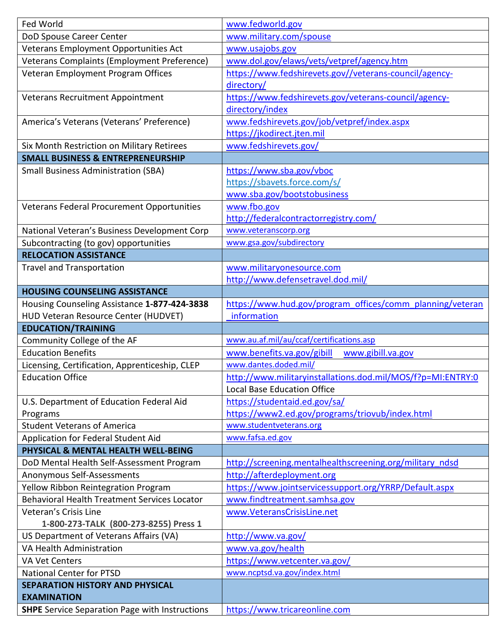| Fed World                                           | www.fedworld.gov                                            |
|-----------------------------------------------------|-------------------------------------------------------------|
| DoD Spouse Career Center                            | www.military.com/spouse                                     |
| Veterans Employment Opportunities Act               | www.usajobs.gov                                             |
| Veterans Complaints (Employment Preference)         | www.dol.gov/elaws/vets/vetpref/agency.htm                   |
| Veteran Employment Program Offices                  | https://www.fedshirevets.gov//veterans-council/agency-      |
|                                                     | directory/                                                  |
| Veterans Recruitment Appointment                    | https://www.fedshirevets.gov/veterans-council/agency-       |
|                                                     | directory/index                                             |
| America's Veterans (Veterans' Preference)           | www.fedshirevets.gov/job/vetpref/index.aspx                 |
|                                                     | https://jkodirect.jten.mil                                  |
| Six Month Restriction on Military Retirees          | www.fedshirevets.gov/                                       |
| <b>SMALL BUSINESS &amp; ENTREPRENEURSHIP</b>        |                                                             |
| <b>Small Business Administration (SBA)</b>          | https://www.sba.gov/vboc                                    |
|                                                     | https://sbavets.force.com/s/                                |
|                                                     | www.sba.gov/bootstobusiness                                 |
| Veterans Federal Procurement Opportunities          | www.fbo.gov                                                 |
|                                                     | http://federalcontractorregistry.com/                       |
| National Veteran's Business Development Corp        | www.veteranscorp.org                                        |
| Subcontracting (to gov) opportunities               | www.gsa.gov/subdirectory                                    |
| <b>RELOCATION ASSISTANCE</b>                        |                                                             |
| <b>Travel and Transportation</b>                    | www.militaryonesource.com                                   |
|                                                     | http://www.defensetravel.dod.mil/                           |
| <b>HOUSING COUNSELING ASSISTANCE</b>                |                                                             |
| Housing Counseling Assistance 1-877-424-3838        | https://www.hud.gov/program_offices/comm_planning/veteran   |
| HUD Veteran Resource Center (HUDVET)                | information                                                 |
|                                                     |                                                             |
| <b>EDUCATION/TRAINING</b>                           |                                                             |
| Community College of the AF                         | www.au.af.mil/au/ccaf/certifications.asp                    |
| <b>Education Benefits</b>                           | www.benefits.va.gov/gibill<br>www.gibill.va.gov             |
| Licensing, Certification, Apprenticeship, CLEP      | www.dantes.doded.mil/                                       |
| <b>Education Office</b>                             | http://www.militaryinstallations.dod.mil/MOS/f?p=MI:ENTRY:0 |
|                                                     | <b>Local Base Education Office</b>                          |
| U.S. Department of Education Federal Aid            | https://studentaid.ed.gov/sa/                               |
| Programs                                            | https://www2.ed.gov/programs/triovub/index.html             |
| <b>Student Veterans of America</b>                  | www.studentveterans.org                                     |
| Application for Federal Student Aid                 | www.fafsa.ed.gov                                            |
| PHYSICAL & MENTAL HEALTH WELL-BEING                 |                                                             |
| DoD Mental Health Self-Assessment Program           | http://screening.mentalhealthscreening.org/military_ndsd    |
| Anonymous Self-Assessments                          | http://afterdeployment.org                                  |
| Yellow Ribbon Reintegration Program                 | https://www.jointservicessupport.org/YRRP/Default.aspx      |
| <b>Behavioral Health Treatment Services Locator</b> | www.findtreatment.samhsa.gov                                |
| Veteran's Crisis Line                               | www.VeteransCrisisLine.net                                  |
| 1-800-273-TALK (800-273-8255) Press 1               |                                                             |
| US Department of Veterans Affairs (VA)              | http://www.va.gov/                                          |
| VA Health Administration                            | www.va.gov/health                                           |
| <b>VA Vet Centers</b>                               | https://www.vetcenter.va.gov/                               |
| <b>National Center for PTSD</b>                     | www.ncptsd.va.gov/index.html                                |
| <b>SEPARATION HISTORY AND PHYSICAL</b>              |                                                             |
| <b>EXAMINATION</b>                                  |                                                             |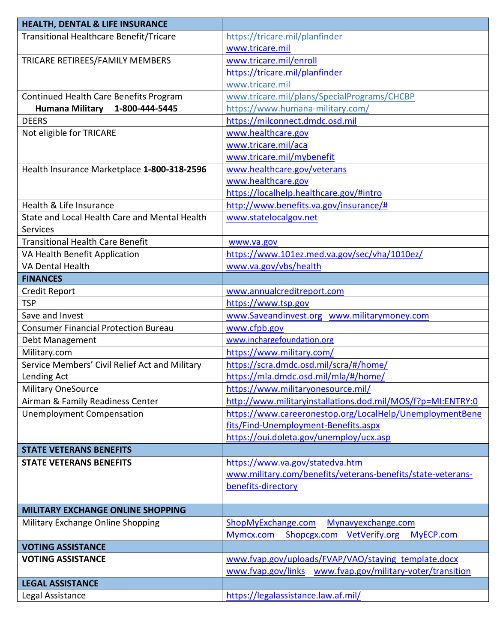| <b>HEALTH, DENTAL &amp; LIFE INSURANCE</b>     |                                                               |
|------------------------------------------------|---------------------------------------------------------------|
| <b>Transitional Healthcare Benefit/Tricare</b> | https://tricare.mil/planfinder                                |
|                                                | www.tricare.mil                                               |
| TRICARE RETIREES/FAMILY MEMBERS                | www.tricare.mil/enroll                                        |
|                                                | https://tricare.mil/planfinder                                |
|                                                | www.tricare.mil                                               |
| Continued Health Care Benefits Program         | www.tricare.mil/plans/SpecialPrograms/CHCBP                   |
| <b>Humana Military</b><br>1-800-444-5445       | https://www.humana-military.com/                              |
| <b>DEERS</b>                                   | https://milconnect.dmdc.osd.mil                               |
| Not eligible for TRICARE                       | www.healthcare.gov                                            |
|                                                | www.tricare.mil/aca                                           |
|                                                | www.tricare.mil/mybenefit                                     |
| Health Insurance Marketplace 1-800-318-2596    | www.healthcare.gov/veterans                                   |
|                                                | www.healthcare.gov                                            |
|                                                | https://localhelp.healthcare.gov/#intro                       |
| Health & Life Insurance                        | http://www.benefits.va.gov/insurance/#                        |
| State and Local Health Care and Mental Health  | www.statelocalgov.net                                         |
| <b>Services</b>                                |                                                               |
| <b>Transitional Health Care Benefit</b>        | www.va.gov                                                    |
| VA Health Benefit Application                  | https://www.101ez.med.va.gov/sec/vha/1010ez/                  |
| <b>VA Dental Health</b>                        | www.va.gov/vbs/health                                         |
| <b>FINANCES</b>                                |                                                               |
| Credit Report                                  | www.annualcreditreport.com                                    |
| <b>TSP</b>                                     | https://www.tsp.gov                                           |
| Save and Invest                                | www.Saveandinvest.org www.militarymoney.com                   |
| <b>Consumer Financial Protection Bureau</b>    | www.cfpb.gov                                                  |
| Debt Management                                | www.inchargefoundation.org                                    |
| Military.com                                   | https://www.military.com/                                     |
| Service Members' Civil Relief Act and Military | https://scra.dmdc.osd.mil/scra/#/home/                        |
| Lending Act                                    | https://mla.dmdc.osd.mil/mla/#/home/                          |
| <b>Military OneSource</b>                      | https://www.militaryonesource.mil/                            |
| Airman & Family Readiness Center               | http://www.militaryinstallations.dod.mil/MOS/f?p=MI:ENTRY:0   |
| <b>Unemployment Compensation</b>               | https://www.careeronestop.org/LocalHelp/UnemploymentBene      |
|                                                | fits/Find-Unemployment-Benefits.aspx                          |
|                                                | https://oui.doleta.gov/unemploy/ucx.asp                       |
| <b>STATE VETERANS BENEFITS</b>                 |                                                               |
| <b>STATE VETERANS BENEFITS</b>                 | https://www.va.gov/statedva.htm                               |
|                                                | www.military.com/benefits/veterans-benefits/state-veterans-   |
|                                                | benefits-directory                                            |
|                                                |                                                               |
| <b>MILITARY EXCHANGE ONLINE SHOPPING</b>       |                                                               |
| Military Exchange Online Shopping              | ShopMyExchange.com<br>Mynavyexchange.com                      |
|                                                | <b>VetVerify.org</b><br>Mymcx.com<br>Shopcgx.com<br>MyECP.com |
| <b>VOTING ASSISTANCE</b>                       |                                                               |
| <b>VOTING ASSISTANCE</b>                       | www.fvap.gov/uploads/FVAP/VAO/staying template.docx           |
|                                                | www.fvap.gov/links<br>www.fvap.gov/military-voter/transition  |
| <b>LEGAL ASSISTANCE</b>                        |                                                               |
| Legal Assistance                               | https://legalassistance.law.af.mil/                           |
|                                                |                                                               |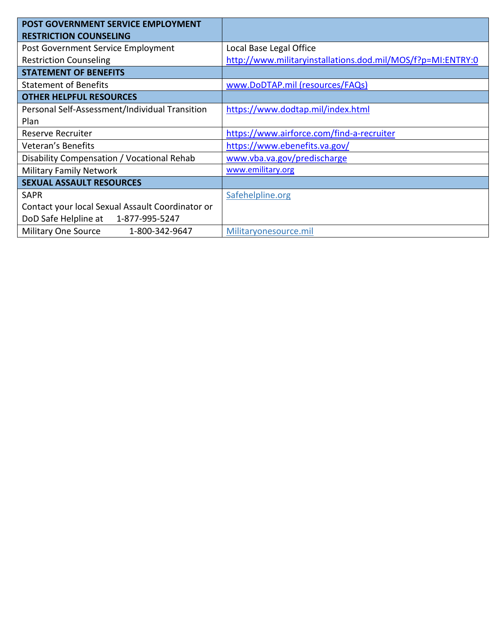| <b>POST GOVERNMENT SERVICE EMPLOYMENT</b><br><b>RESTRICTION COUNSELING</b> |                                                             |  |  |  |  |  |  |  |  |  |
|----------------------------------------------------------------------------|-------------------------------------------------------------|--|--|--|--|--|--|--|--|--|
| Post Government Service Employment                                         | Local Base Legal Office                                     |  |  |  |  |  |  |  |  |  |
| <b>Restriction Counseling</b>                                              | http://www.militaryinstallations.dod.mil/MOS/f?p=MI:ENTRY:0 |  |  |  |  |  |  |  |  |  |
| <b>STATEMENT OF BENEFITS</b>                                               |                                                             |  |  |  |  |  |  |  |  |  |
| <b>Statement of Benefits</b>                                               | www.DoDTAP.mil (resources/FAQs)                             |  |  |  |  |  |  |  |  |  |
| <b>OTHER HELPFUL RESOURCES</b>                                             |                                                             |  |  |  |  |  |  |  |  |  |
| Personal Self-Assessment/Individual Transition                             | https://www.dodtap.mil/index.html                           |  |  |  |  |  |  |  |  |  |
| Plan                                                                       |                                                             |  |  |  |  |  |  |  |  |  |
| Reserve Recruiter                                                          | https://www.airforce.com/find-a-recruiter                   |  |  |  |  |  |  |  |  |  |
| <b>Veteran's Benefits</b>                                                  | https://www.ebenefits.va.gov/                               |  |  |  |  |  |  |  |  |  |
| Disability Compensation / Vocational Rehab                                 | www.vba.va.gov/predischarge                                 |  |  |  |  |  |  |  |  |  |
| <b>Military Family Network</b>                                             | www.emilitary.org                                           |  |  |  |  |  |  |  |  |  |
| <b>SEXUAL ASSAULT RESOURCES</b>                                            |                                                             |  |  |  |  |  |  |  |  |  |
| <b>SAPR</b>                                                                | Safehelpline.org                                            |  |  |  |  |  |  |  |  |  |
| Contact your local Sexual Assault Coordinator or                           |                                                             |  |  |  |  |  |  |  |  |  |
| DoD Safe Helpline at 1-877-995-5247                                        |                                                             |  |  |  |  |  |  |  |  |  |
| <b>Military One Source</b><br>1-800-342-9647                               | Militaryonesource.mil                                       |  |  |  |  |  |  |  |  |  |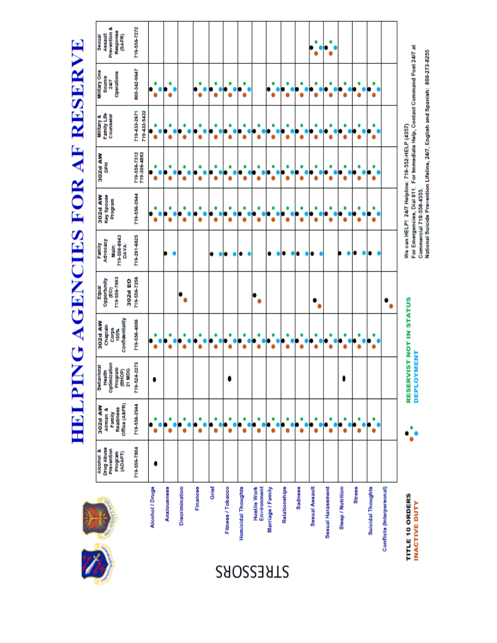**HELPING AGENCIES FOR AF RESERVE** 

| Prevention &<br>Response<br><b>Assault</b><br>(SAPR)<br><b>Sexual</b> | 719-556-7272                 |                 |                    |                |                 |       |                   |                           |                                    |                   |               |                | ۰              |                   |                   |               |                          |                           |                                                                                                                                                              |
|-----------------------------------------------------------------------|------------------------------|-----------------|--------------------|----------------|-----------------|-------|-------------------|---------------------------|------------------------------------|-------------------|---------------|----------------|----------------|-------------------|-------------------|---------------|--------------------------|---------------------------|--------------------------------------------------------------------------------------------------------------------------------------------------------------|
| Military One<br>Operations<br>Source<br>24/7                          | 1196-212-008                 |                 | ٠                  |                |                 | ٠     | Ŏ<br>٠            | ۰                         |                                    |                   |               |                |                |                   | ٠                 | J             |                          |                           | For Emergencies, Dial 911. For Immediate Help, Contact Command Post 24/7 at<br>National Suicide Prevention Lifeline, 24/7, English and Spanish: 800-273-8255 |
| Military &<br>Family Life<br>Counselor                                | 719433-2671<br>719-433-5432  |                 |                    |                |                 |       | O                 | ¢                         |                                    |                   |               |                |                |                   |                   |               |                          |                           |                                                                                                                                                              |
| 302d AW<br>톱                                                          | 719-556 7312<br>719-306-4893 |                 |                    | ō              |                 | ٠     | Ŏ<br>ŏ            |                           | ŧ<br>ă                             |                   |               |                |                |                   |                   |               |                          |                           |                                                                                                                                                              |
| 302d AW<br><b>Hey Spouse</b><br>merford                               | 719 556 2644                 |                 |                    |                |                 |       | O                 | O                         |                                    |                   |               |                |                |                   |                   |               |                          |                           | We can HELP! 24/7 Helpline: 719-552-HELP (4357)<br>Commercial 719-556-4555.                                                                                  |
| 719-556-8943<br>Family<br>Advocacy<br><b>DAVA:</b><br>Main:           | 719-291-6625                 |                 |                    |                |                 |       |                   |                           |                                    |                   |               | 8              |                |                   |                   |               |                          |                           |                                                                                                                                                              |
| 719-556-7693<br>Equal<br>Opportunity<br>302d EO<br>(EO)               | 719-556-7256                 |                 |                    |                |                 |       |                   |                           |                                    |                   |               |                |                |                   |                   |               |                          |                           |                                                                                                                                                              |
| Confidentiality<br>302d AW<br>Chaplain<br>Corps<br>100%               | 719-556-4006                 |                 |                    |                |                 | ă     | ٠<br>ă            |                           |                                    |                   |               |                |                | ۰<br>ă            | ۰<br>ă            | ۰<br>۰        |                          |                           | RESERVIST NOT IN STATUS                                                                                                                                      |
| Optimization<br>Behavioral<br>Program<br>(BHOP)<br>21 MDG<br>Health   | 719-524-2273                 |                 |                    |                |                 |       |                   |                           |                                    |                   |               |                |                |                   | 0                 |               |                          |                           | OYMENT<br><b>DEPL</b>                                                                                                                                        |
| Office (A&FR)<br>302d AW<br><b>Readiness</b><br>Airman &<br>Family    | 719-556-2944                 |                 | ٠                  | ٠              |                 | ٠     | ۰<br>٠            | ٠                         | $\bullet$                          | ٠                 | ٠             | ٠              | ٠              |                   | ٠                 | ٠             |                          |                           |                                                                                                                                                              |
| <b>DrugAbuse</b><br>Prevention<br>Alcohol &<br>merbord<br>(ADAPT)     | 719-556-7804                 |                 |                    |                |                 |       |                   |                           |                                    |                   |               |                |                |                   |                   |               |                          |                           |                                                                                                                                                              |
|                                                                       |                              | Alcohol / Drugs | <b>Anxiousness</b> | Discrimination | <b>Finances</b> | Grief | Fitness / Tobacco | <b>Homicidal Thoughts</b> | Environment<br><b>Hostile Work</b> | Marriage / Family | Relationships | <b>Sadness</b> | Sexual Assault | Sexual Harassment | Sleep / Nutrition | <b>Stress</b> | <b>Suicidal Thoughts</b> | Conflicts (Interpersonal) | TITLE 10 ORDERS<br><b>INACTIVE DUTY</b>                                                                                                                      |
|                                                                       |                              |                 |                    |                |                 |       | STRESSORS         |                           |                                    |                   |               |                |                |                   |                   |               |                          |                           |                                                                                                                                                              |